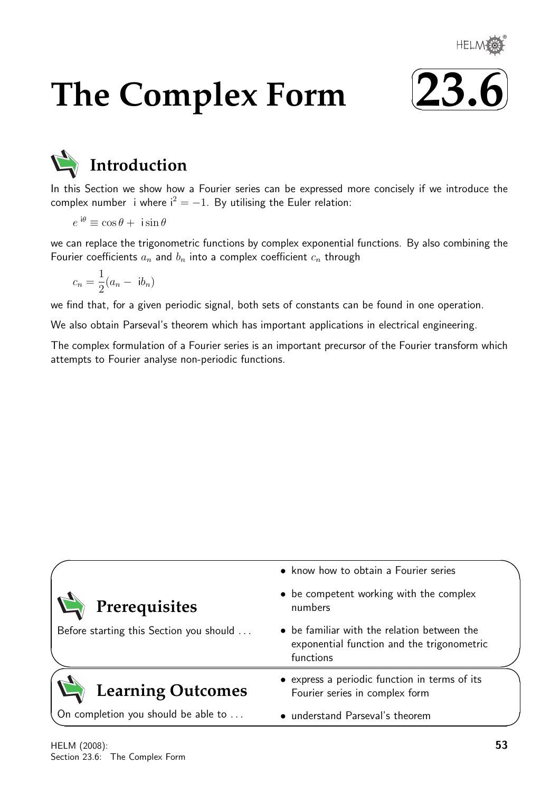

# **The Complex Form**





# **Introduction**

In this Section we show how a Fourier series can be expressed more concisely if we introduce the complex number i where  $i^2 = -1$ . By utilising the Euler relation:

$$
e^{i\theta} \equiv \cos \theta + i \sin \theta
$$

we can replace the trigonometric functions by complex exponential functions. By also combining the Fourier coefficients  $a_n$  and  $b_n$  into a complex coefficient  $c_n$  through

$$
c_n = \frac{1}{2}(a_n - ib_n)
$$

we find that, for a given periodic signal, both sets of constants can be found in one operation.

We also obtain Parseval's theorem which has important applications in electrical engineering.

The complex formulation of a Fourier series is an important precursor of the Fourier transform which attempts to Fourier analyse non-periodic functions.

| • know how to obtain a Fourier series                                                                  |  |
|--------------------------------------------------------------------------------------------------------|--|
| • be competent working with the complex<br>numbers                                                     |  |
| • be familiar with the relation between the<br>exponential function and the trigonometric<br>functions |  |
| • express a periodic function in terms of its<br>Fourier series in complex form                        |  |
| • understand Parseval's theorem                                                                        |  |
|                                                                                                        |  |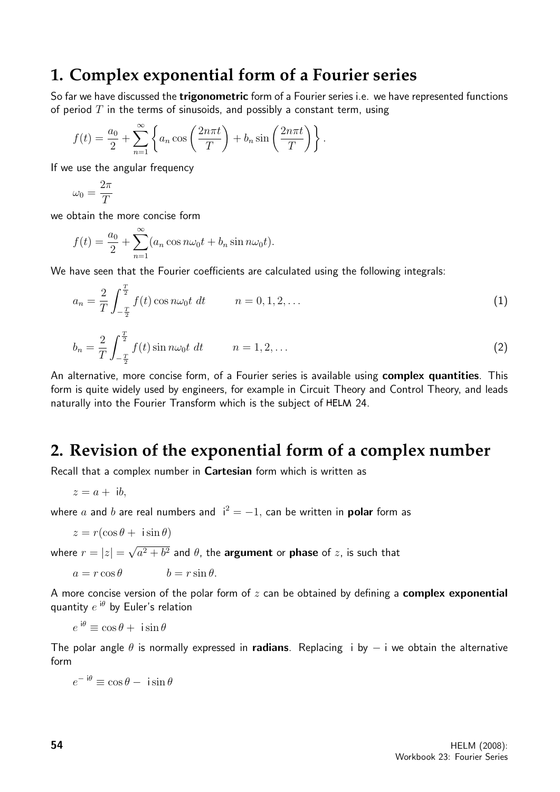# **1. Complex exponential form of a Fourier series**

So far we have discussed the *trigonometric* form of a Fourier series i.e. we have represented functions of period  $T$  in the terms of sinusoids, and possibly a constant term, using

$$
f(t) = \frac{a_0}{2} + \sum_{n=1}^{\infty} \left\{ a_n \cos\left(\frac{2n\pi t}{T}\right) + b_n \sin\left(\frac{2n\pi t}{T}\right) \right\}.
$$

If we use the angular frequency

$$
\omega_0=\frac{2\pi}{T}
$$

we obtain the more concise form

$$
f(t) = \frac{a_0}{2} + \sum_{n=1}^{\infty} (a_n \cos n\omega_0 t + b_n \sin n\omega_0 t).
$$

We have seen that the Fourier coefficients are calculated using the following integrals:

$$
a_n = \frac{2}{T} \int_{-\frac{T}{2}}^{\frac{T}{2}} f(t) \cos n\omega_0 t \, dt \qquad n = 0, 1, 2, \dots \tag{1}
$$

$$
b_n = \frac{2}{T} \int_{-\frac{T}{2}}^{\frac{T}{2}} f(t) \sin n\omega_0 t \, dt \qquad n = 1, 2, \dots
$$
 (2)

An alternative, more concise form, of a Fourier series is available using **complex quantities**. This form is quite widely used by engineers, for example in Circuit Theory and Control Theory, and leads naturally into the Fourier Transform which is the subject of HELM 24.

# **2. Revision of the exponential form of a complex number**

Recall that a complex number in Cartesian form which is written as

$$
z = a + ib,
$$

where a and b are real numbers and  $i^2 = -1$ , can be written in **polar** form as

$$
z = r(\cos \theta + i \sin \theta)
$$

where  $r = |z| =$ √  $a^2+b^2$  and  $\theta$ , the  $\boldsymbol{a}$ rgument or  $\boldsymbol{p}$ hase of  $z$ , is such that

$$
a = r \cos \theta \qquad \qquad b = r \sin \theta.
$$

A more concise version of the polar form of  $z$  can be obtained by defining a **complex exponential** quantity  $e^{\,\mathsf{i}\theta}$  by Euler's relation

$$
e^{i\theta} \equiv \cos \theta + i \sin \theta
$$

The polar angle  $\theta$  is normally expressed in **radians**. Replacing i by  $-$  i we obtain the alternative form

 $e^{-i\theta} \equiv \cos \theta - i \sin \theta$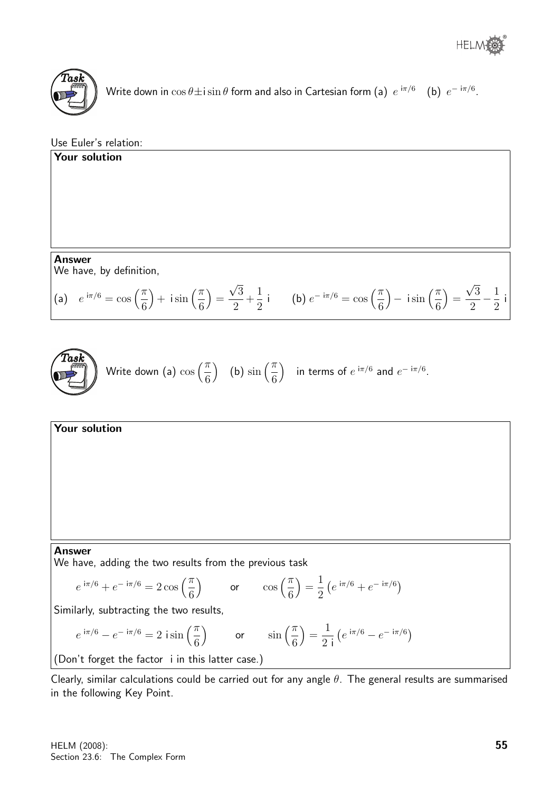

Write down in  $\cos\theta\pm\mathrm{i}\sin\theta$  form and also in Cartesian form (a)  $\,e^{\,\mathrm{i}\pi/6} \,$   $\,$  (b)  $\,e^{-\,\mathrm{i}\pi/6} \,$ 

Use Euler's relation:

Your solution Answer We have, by definition, (a)  $e^{i\pi/6} = \cos\left(\frac{\pi}{6}\right)$ 6 ) + isin  $\left(\frac{\pi}{c}\right)$ 6  $=$ √ 3 2  $+$ 1 2 i (b)  $e^{-i\pi/6} = \cos\left(\frac{\pi}{6}\right)$ 6  $-\sin\left(\frac{\pi}{c}\right)$ 6  $=$ √ 3 2  $-\frac{1}{2}$ 2 i



Your solution Answer We have, adding the two results from the previous task  $e^{\mathrm{i}\pi/6} + e^{-\mathrm{i}\pi/6} = 2\cos\left(\frac{\pi}{6}\right)$ 6 ) or  $\cos\left(\frac{\pi}{6}\right)$ 6  $=$ 1 2  $(e^{i\pi/6}+e^{-i\pi/6})$ Similarly, subtracting the two results,  $e^{\mathrm{i}\pi/6} - e^{-\mathrm{i}\pi/6} = 2 \mathrm{i} \sin \left( \frac{\pi}{6} \right)$ 6 ) or  $\sin\left(\frac{\pi}{6}\right)$ 6  $=$ 1 2 i  $(e^{i\pi/6} - e^{-i\pi/6})$ (Don't forget the factor i in this latter case.) Clearly, similar calculations could be carried out for any angle  $\theta$ . The general results are summarised in the following Key Point.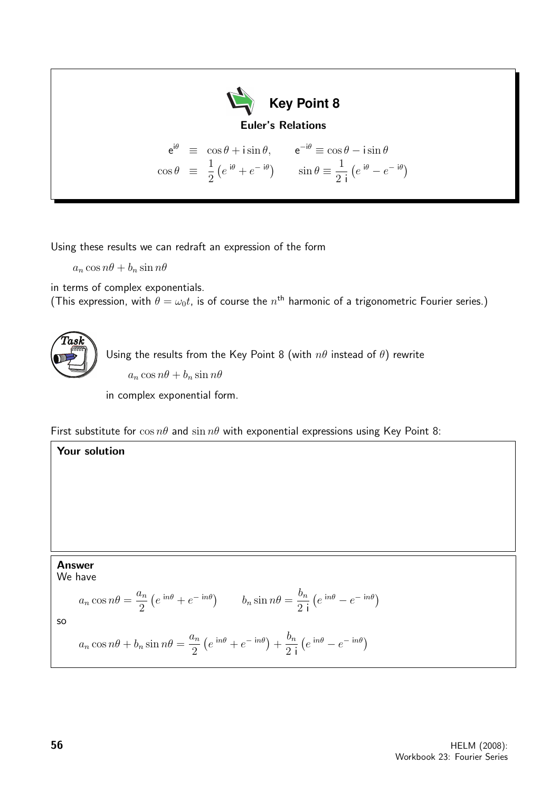**Key Point 8** Euler's Relations  $e^{i\theta}$  $\dot{\theta} \equiv \cos \theta + i \sin \theta$ ,  $e^{-i\theta} \equiv \cos \theta - i \sin \theta$  $\cos\theta$ 1  $(e^{i\theta} + e^{-i\theta})$   $\sin \theta \equiv \frac{1}{2}$  $(e^{i\theta} - e^{-i\theta})$ 

2 i

Using these results we can redraft an expression of the form

2

 $a_n \cos n\theta + b_n \sin n\theta$ 

in terms of complex exponentials.

(This expression, with  $\theta = \omega_0 t$ , is of course the  $n^{\text{th}}$  harmonic of a trigonometric Fourier series.)



in complex exponential form.

First substitute for  $\cos n\theta$  and  $\sin n\theta$  with exponential expressions using Key Point 8:

**Your solution**  
  
  
Answer  
We have  

$$
a_n \cos n\theta = \frac{a_n}{2} (e^{in\theta} + e^{-in\theta}) \qquad b_n \sin n\theta = \frac{b_n}{2i} (e^{in\theta} - e^{-in\theta})
$$

$$
a_n \cos n\theta + b_n \sin n\theta = \frac{a_n}{2} (e^{in\theta} + e^{-in\theta}) + \frac{b_n}{2i} (e^{in\theta} - e^{-in\theta})
$$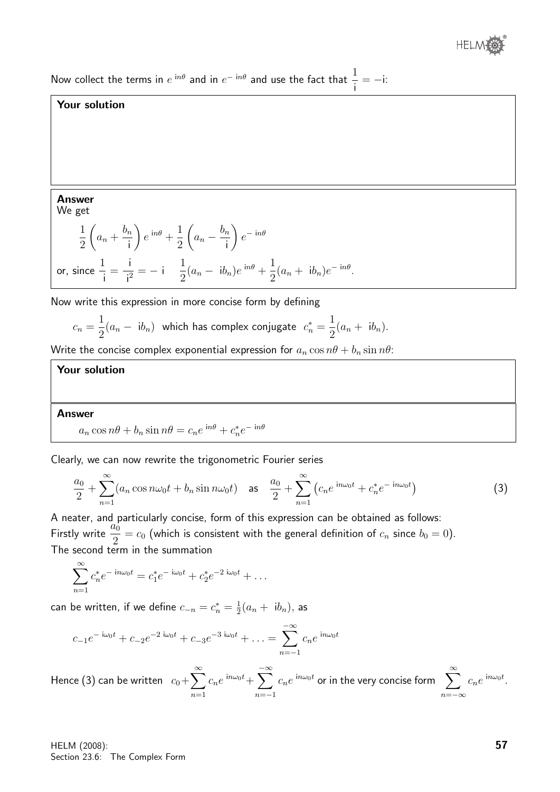Now collect the terms in  $e^{\, \mathrm{i} n \theta}$  and in  $e^{-\, \mathrm{i} n \theta}$  and use the fact that  $\frac{1}{\tau}$ i = −i:

## Your solution

## Answer

We get

$$
\frac{1}{2}\left(a_n + \frac{b_n}{i}\right)e^{in\theta} + \frac{1}{2}\left(a_n - \frac{b_n}{i}\right)e^{-in\theta}
$$
\nor, since  $\frac{1}{i} = \frac{i}{i^2} = -i \quad \frac{1}{2}(a_n - ib_n)e^{in\theta} + \frac{1}{2}(a_n + ib_n)e^{-in\theta}$ .

Now write this expression in more concise form by defining

$$
c_n = \frac{1}{2}(a_n - ib_n) \text{ which has complex conjugate } c_n^* = \frac{1}{2}(a_n + ib_n).
$$

Write the concise complex exponential expression for  $a_n \cos n\theta + b_n \sin n\theta$ :

## Your solution

#### Answer

$$
a_n \cos n\theta + b_n \sin n\theta = c_n e^{\text{in}\theta} + c_n^* e^{-\text{in}\theta}
$$

Clearly, we can now rewrite the trigonometric Fourier series

$$
\frac{a_0}{2} + \sum_{n=1}^{\infty} (a_n \cos n\omega_0 t + b_n \sin n\omega_0 t) \quad \text{as} \quad \frac{a_0}{2} + \sum_{n=1}^{\infty} (c_n e^{\mathrm{i}n\omega_0 t} + c_n^* e^{-\mathrm{i}n\omega_0 t}) \tag{3}
$$

A neater, and particularly concise, form of this expression can be obtained as follows: Firstly write  $\frac{a_0}{2}$  $\frac{z_0}{2} = c_0$  (which is consistent with the general definition of  $c_n$  since  $b_0 = 0$ ). The second term in the summation

$$
\sum_{n=1}^{\infty} c_n^* e^{-in\omega_0 t} = c_1^* e^{-i\omega_0 t} + c_2^* e^{-2i\omega_0 t} + \dots
$$

can be written, if we define  $c_{-n}=c_n^*=\frac{1}{2}$  $\frac{1}{2}(a_n + ib_n),$  as

$$
c_{-1}e^{-i\omega_0 t} + c_{-2}e^{-2i\omega_0 t} + c_{-3}e^{-3i\omega_0 t} + \dots = \sum_{n=-1}^{-\infty} c_n e^{in\omega_0 t}
$$

Hence (3) can be written  $\left[c_0 + \sum_{n=1}^{\infty} \right]$  $n=1$  $c_n e^{in\omega_0 t} + \sum^{-\infty}$  $n=-1$  $c_n e^{\hspace{1mm}\mathrm{i} n \omega_0 t}$  or in the very concise form  $\hspace{0.1cm} \sum^\infty$  $n=-\infty$  $c_n e^{in\omega_0 t}$ .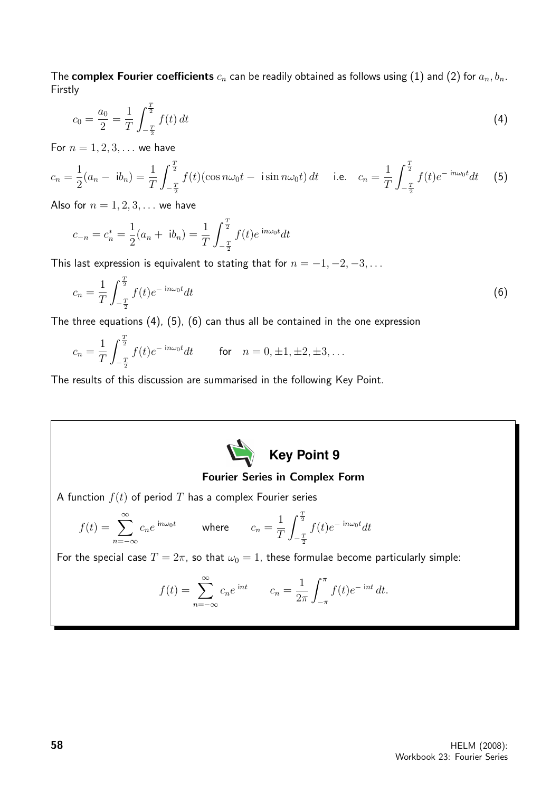The complex Fourier coefficients  $c_n$  can be readily obtained as follows using (1) and (2) for  $a_n, b_n$ . Firstly

$$
c_0 = \frac{a_0}{2} = \frac{1}{T} \int_{-\frac{T}{2}}^{\frac{T}{2}} f(t) dt
$$
 (4)

For  $n = 1, 2, 3, ...$  we have

$$
c_n = \frac{1}{2}(a_n - ib_n) = \frac{1}{T} \int_{-\frac{T}{2}}^{\frac{T}{2}} f(t) (\cos n\omega_0 t - i \sin n\omega_0 t) dt \quad \text{i.e.} \quad c_n = \frac{1}{T} \int_{-\frac{T}{2}}^{\frac{T}{2}} f(t) e^{-in\omega_0 t} dt \quad (5)
$$

Also for  $n = 1, 2, 3, \ldots$  we have

$$
c_{-n} = c_n^* = \frac{1}{2}(a_n + ib_n) = \frac{1}{T} \int_{-\frac{T}{2}}^{\frac{T}{2}} f(t)e^{in\omega_0 t} dt
$$

This last expression is equivalent to stating that for  $n = -1, -2, -3, \ldots$ 

$$
c_n = \frac{1}{T} \int_{-\frac{T}{2}}^{\frac{T}{2}} f(t) e^{-in\omega_0 t} dt
$$
\n
$$
\tag{6}
$$

The three equations (4), (5), (6) can thus all be contained in the one expression

$$
c_n = \frac{1}{T} \int_{-\frac{T}{2}}^{\frac{T}{2}} f(t) e^{-in\omega_0 t} dt \quad \text{for} \quad n = 0, \pm 1, \pm 2, \pm 3, \dots
$$

The results of this discussion are summarised in the following Key Point.



## Fourier Series in Complex Form

A function  $f(t)$  of period T has a complex Fourier series

$$
f(t)=\sum_{n=-\infty}^{\infty}c_ne^{\mathrm{i}n\omega_0t}\qquad\text{ where }\qquad c_n=\frac{1}{T}\int_{-\frac{T}{2}}^{\frac{T}{2}}f(t)e^{-\mathrm{i}n\omega_0t}dt
$$

For the special case  $T = 2\pi$ , so that  $\omega_0 = 1$ , these formulae become particularly simple:

$$
f(t) = \sum_{n=-\infty}^{\infty} c_n e^{int}
$$
  $c_n = \frac{1}{2\pi} \int_{-\pi}^{\pi} f(t) e^{-int} dt.$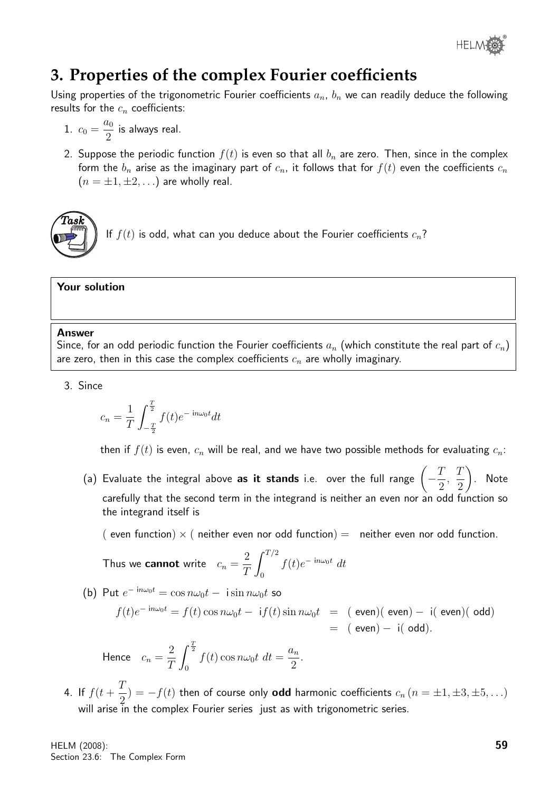

# **3. Properties of the complex Fourier coefficients**

Using properties of the trigonometric Fourier coefficients  $a_n$ ,  $b_n$  we can readily deduce the following results for the  $c_n$  coefficients:

- 1.  $c_0 =$  $a_0$ 2 is always real.
- 2. Suppose the periodic function  $f(t)$  is even so that all  $b_n$  are zero. Then, since in the complex form the  $b_n$  arise as the imaginary part of  $c_n$ , it follows that for  $f(t)$  even the coefficients  $c_n$  $(n = \pm 1, \pm 2, \ldots)$  are wholly real.



If  $f(t)$  is odd, what can you deduce about the Fourier coefficients  $c_n$ ?

#### Your solution

#### Answer

Since, for an odd periodic function the Fourier coefficients  $a_n$  (which constitute the real part of  $c_n$ ) are zero, then in this case the complex coefficients  $c_n$  are wholly imaginary.

3. Since

$$
c_n = \frac{1}{T} \int_{-\frac{T}{2}}^{\frac{T}{2}} f(t) e^{-in\omega_0 t} dt
$$

then if  $f(t)$  is even,  $c_n$  will be real, and we have two possible methods for evaluating  $c_n$ :

(a) Evaluate the integral above **as it stands** i.e. over the full range  $\begin{pmatrix} T & T \\ -S & T \end{pmatrix}$ 2 , T 2  $\setminus$ . Note carefully that the second term in the integrand is neither an even nor an odd function so the integrand itself is

( even function)  $\times$  ( neither even nor odd function) = neither even nor odd function.

Thus we **cannot** write 
$$
c_n = \frac{2}{T} \int_0^{T/2} f(t) e^{-in\omega_0 t} dt
$$

(b) Put  $e^{-in\omega_0 t} = \cos n\omega_0 t - i\sin n\omega_0 t$  so

$$
f(t)e^{-in\omega_0 t} = f(t)\cos n\omega_0 t - if(t)\sin n\omega_0 t = (\text{ even})(\text{ even}) - i(\text{ even})(\text{ odd})
$$
  
= (\text{ even}) - i(\text{ odd}).

Hence 
$$
c_n = \frac{2}{T} \int_0^{\frac{T}{2}} f(t) \cos n\omega_0 t \ dt = \frac{a_n}{2}
$$
.

4. If  $f(t +$ T  $\frac{1}{2}$ ) =  $-f(t)$  then of course only **odd** harmonic coefficients  $c_n$   $(n = \pm 1, \pm 3, \pm 5, ...)$ will arise in the complex Fourier series just as with trigonometric series.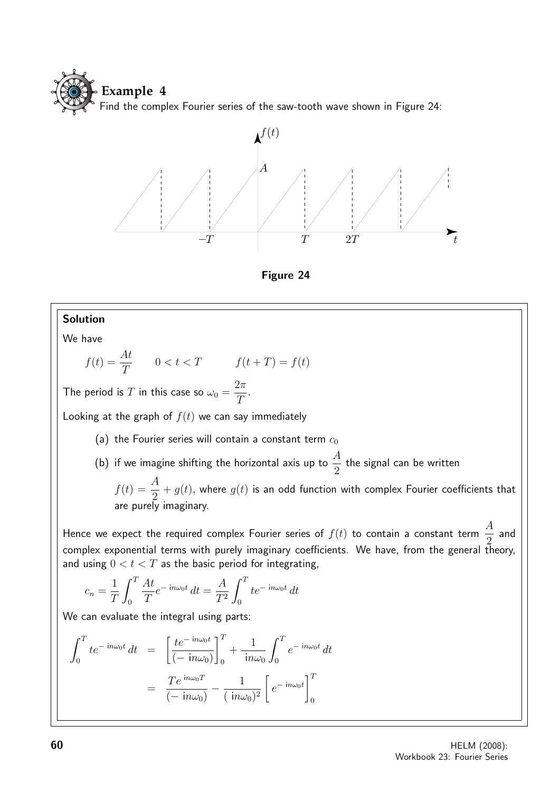



Figure 24

#### Solution

We have

$$
f(t) = \frac{At}{T} \qquad 0 < t < T \qquad f(t + T) = f(t)
$$

The period is  $T$  in this case so  $\omega_0 =$  $2\pi$ T .

Looking at the graph of  $f(t)$  we can say immediately

(a) the Fourier series will contain a constant term  $c_0$ 

(b) if we imagine shifting the horizontal axis up to  $\frac{A}{2}$ 2 the signal can be written

 $f(t) = \frac{A}{2}$ 2  $+$   $g(t),$  where  $g(t)$  is an odd function with complex Fourier coefficients that are purely imaginary.

Hence we expect the required complex Fourier series of  $f(t)$  to contain a constant term  $\frac{A}{A}$ 2 and complex exponential terms with purely imaginary coefficients. We have, from the general theory, and using  $0 < t < T$  as the basic period for integrating,

$$
c_n = \frac{1}{T} \int_0^T \frac{At}{T} e^{-in\omega_0 t} dt = \frac{A}{T^2} \int_0^T t e^{-in\omega_0 t} dt
$$

We can evaluate the integral using parts:

$$
\int_0^T te^{-in\omega_0 t} dt = \left[\frac{te^{-in\omega_0 t}}{(-in\omega_0)}\right]_0^T + \frac{1}{in\omega_0} \int_0^T e^{-in\omega_0 t} dt
$$

$$
= \frac{Te^{in\omega_0 T}}{(-in\omega_0)} - \frac{1}{(in\omega_0)^2} \left[e^{-in\omega_0 t}\right]_0^T
$$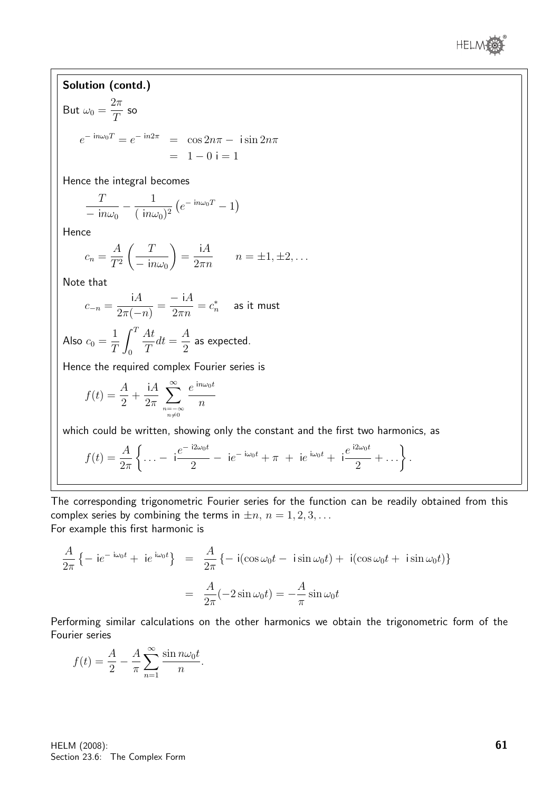

Solution (contd.) But  $\omega_0 =$  $2\pi$ T so  $e^{-in\omega_0 T} = e^{-in2\pi} = \cos 2n\pi - i \sin 2n\pi$  $= 1 - 0$  i = 1

Hence the integral becomes

$$
\frac{T}{-\mathrm{i}n\omega_0} - \frac{1}{(\mathrm{i}n\omega_0)^2} \left( e^{-\mathrm{i}n\omega_0 T} - 1 \right)
$$

Hence

$$
c_n = \frac{A}{T^2} \left( \frac{T}{-\mathsf{i}n\omega_0} \right) = \frac{\mathsf{i}A}{2\pi n} \qquad n = \pm 1, \pm 2, \dots
$$

Note that

$$
c_{-n} = \frac{\mathrm{i}A}{2\pi(-n)} = \frac{-\mathrm{i}A}{2\pi n} = c_n^* \quad \text{as it must}
$$

Also 
$$
c_0 = \frac{1}{T} \int_0^T \frac{At}{T} dt = \frac{A}{2}
$$
 as expected.

Hence the required complex Fourier series is

$$
f(t) = \frac{A}{2} + \frac{A}{2\pi} \sum_{\substack{n = -\infty\\n \neq 0}}^{\infty} \frac{e^{in\omega_0 t}}{n}
$$

which could be written, showing only the constant and the first two harmonics, as

$$
f(t) = \frac{A}{2\pi} \left\{ \ldots - i \frac{e^{-i2\omega_0 t}}{2} - ie^{-i\omega_0 t} + \pi + ie^{i\omega_0 t} + i \frac{e^{i2\omega_0 t}}{2} + \ldots \right\}.
$$

The corresponding trigonometric Fourier series for the function can be readily obtained from this complex series by combining the terms in  $\pm n$ ,  $n = 1, 2, 3, \ldots$ For example this first harmonic is

$$
\frac{A}{2\pi} \left\{ -ie^{-i\omega_0 t} + ie^{i\omega_0 t} \right\} = \frac{A}{2\pi} \left\{ -i(\cos\omega_0 t - i\sin\omega_0 t) + i(\cos\omega_0 t + i\sin\omega_0 t) \right\}
$$
\n
$$
= \frac{A}{2\pi} (-2\sin\omega_0 t) = -\frac{A}{\pi} \sin\omega_0 t
$$

Performing similar calculations on the other harmonics we obtain the trigonometric form of the Fourier series

$$
f(t) = \frac{A}{2} - \frac{A}{\pi} \sum_{n=1}^{\infty} \frac{\sin n\omega_0 t}{n}.
$$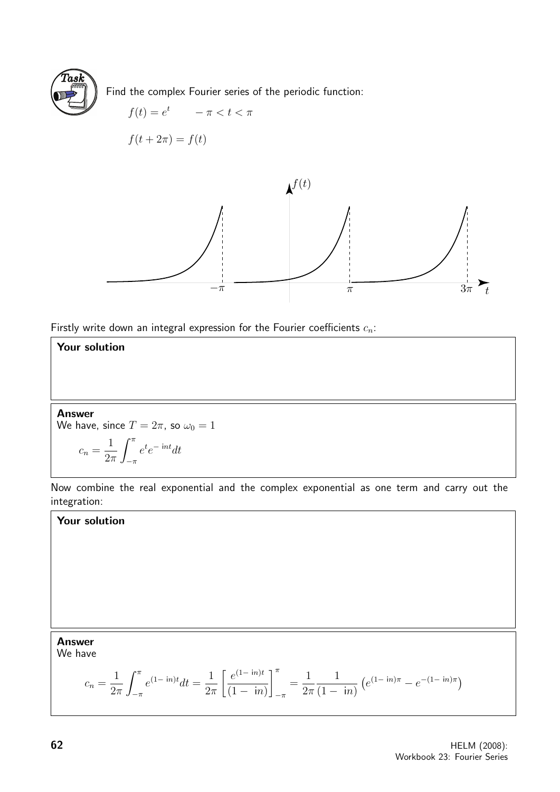

Find the complex Fourier series of the periodic function:

$$
f(t) = e^t \qquad -\pi < t < \pi
$$

$$
f(t+2\pi) = f(t)
$$



Firstly write down an integral expression for the Fourier coefficients  $c_n$ :

# Your solution Answer We have, since  $T = 2\pi$ , so  $\omega_0 = 1$  $c_n =$ 1  $2\pi$  $\int_0^\pi$  $e^t e^{-int} dt$

Now combine the real exponential and the complex exponential as one term and carry out the integration:

# Your solution

 $-\pi$ 

Answer We have

$$
c_n = \frac{1}{2\pi} \int_{-\pi}^{\pi} e^{(1 - in)t} dt = \frac{1}{2\pi} \left[ \frac{e^{(1 - in)t}}{(1 - in)} \right]_{-\pi}^{\pi} = \frac{1}{2\pi} \frac{1}{(1 - in)} \left( e^{(1 - in)\pi} - e^{-(1 - in)\pi} \right)
$$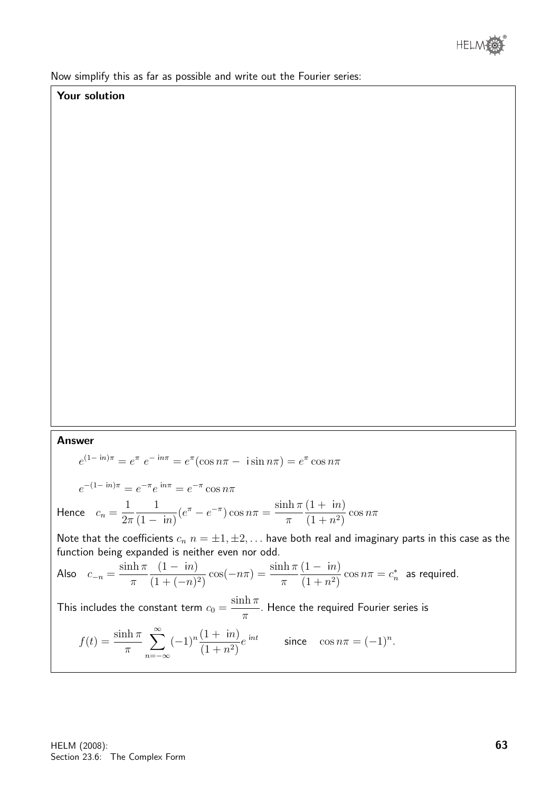

Now simplify this as far as possible and write out the Fourier series:

#### Your solution

#### Answer

 $e^{(1-i n)\pi} = e^{\pi} e^{-in\pi} = e^{\pi} (\cos n\pi - i \sin n\pi) = e^{\pi} \cos n\pi$  $e^{-(1-i n)\pi} = e^{-\pi} e^{in\pi} = e^{-\pi} \cos n\pi$ Hence  $c_n =$ 1  $2\pi$ 1  $(1 - in)$  $(e^{\pi} - e^{-\pi}) \cos n\pi =$  $\sinh \pi$  $\pi$  $(1 + in)$  $(1 + n^2)$  $\cos n\pi$ Note that the coefficients  $c_n$   $n = \pm 1, \pm 2, \ldots$  have both real and imaginary parts in this case as the function being expanded is neither even nor odd. Also  $c_{-n} =$  $\sinh \pi$  $\pi$  $(1 - in)$  $(1 + (-n)^2)$  $\cos(-n\pi) = \frac{\sinh \pi}{n}$  $\pi$  $(1 - in)$  $(1 + n^2)$  $\cos n\pi = c_n^*$  as required. This includes the constant term  $c_0 =$  $\sinh \pi$  $\pi$ . Hence the required Fourier series is  $f(t) = \frac{\sinh \pi}{2}$  $\pi$  $\sum^{\infty}$  $n=-\infty$  $(-1)^n \frac{(1 + in)}{(1 - n)}$  $(1 + n^2)$  $e^{int}$  since  $\cos n\pi = (-1)^n$ .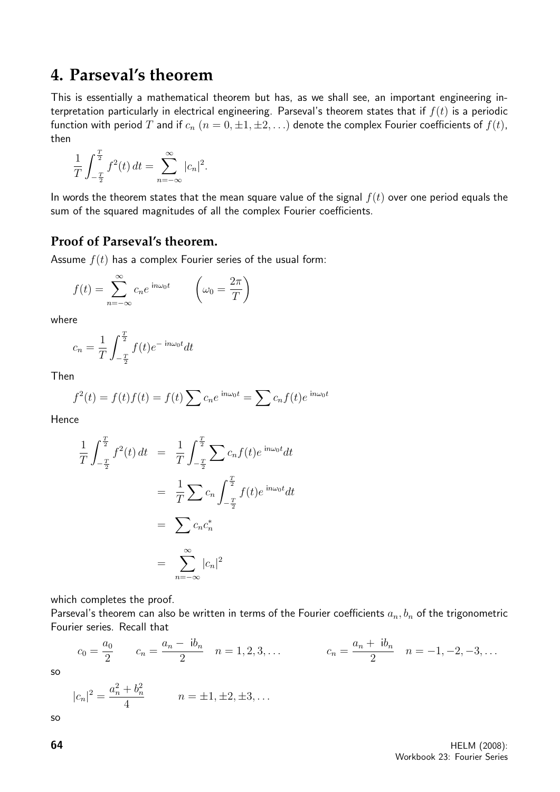# **4. Parseval's theorem**

This is essentially a mathematical theorem but has, as we shall see, an important engineering interpretation particularly in electrical engineering. Parseval's theorem states that if  $f(t)$  is a periodic function with period T and if  $c_n$   $(n = 0, \pm 1, \pm 2, ...)$  denote the complex Fourier coefficients of  $f(t)$ , then

$$
\frac{1}{T} \int_{-\frac{T}{2}}^{\frac{T}{2}} f^2(t) dt = \sum_{n=-\infty}^{\infty} |c_n|^2.
$$

In words the theorem states that the mean square value of the signal  $f(t)$  over one period equals the sum of the squared magnitudes of all the complex Fourier coefficients.

## **Proof of Parseval's theorem.**

Assume  $f(t)$  has a complex Fourier series of the usual form:

$$
f(t) = \sum_{n = -\infty}^{\infty} c_n e^{in\omega_0 t} \qquad \left(\omega_0 = \frac{2\pi}{T}\right)
$$

where

$$
c_n=\frac{1}{T}\int_{-\frac{T}{2}}^{\frac{T}{2}}f(t)e^{-\mathrm{i}n\omega_0 t}dt
$$

Then

$$
f^{2}(t) = f(t)f(t) = f(t)\sum c_{n}e^{in\omega_{0}t} = \sum c_{n}f(t)e^{in\omega_{0}t}
$$

Hence

$$
\frac{1}{T} \int_{-\frac{T}{2}}^{\frac{T}{2}} f^2(t) dt = \frac{1}{T} \int_{-\frac{T}{2}}^{\frac{T}{2}} \sum c_n f(t) e^{i n \omega_0 t} dt
$$

$$
= \frac{1}{T} \sum c_n \int_{-\frac{T}{2}}^{\frac{T}{2}} f(t) e^{i n \omega_0 t} dt
$$

$$
= \sum c_n c_n^*
$$

$$
= \sum_{n=-\infty}^{\infty} |c_n|^2
$$

which completes the proof.

Parseval's theorem can also be written in terms of the Fourier coefficients  $a_n, b_n$  of the trigonometric Fourier series. Recall that

$$
c_0 = \frac{a_0}{2}
$$
  $c_n = \frac{a_n - ib_n}{2}$   $n = 1, 2, 3, ...$   $c_n = \frac{a_n + ib_n}{2}$   $n = -1, -2, -3, ...$ 

so

$$
|c_n|^2 = \frac{a_n^2 + b_n^2}{4} \qquad n = \pm 1, \pm 2, \pm 3, \dots
$$

so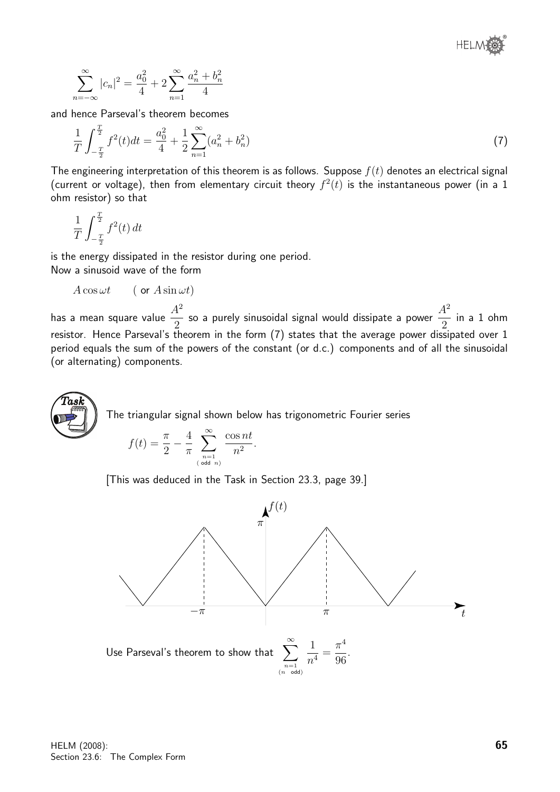

$$
\sum_{n=-\infty}^{\infty} |c_n|^2 = \frac{a_0^2}{4} + 2 \sum_{n=1}^{\infty} \frac{a_n^2 + b_n^2}{4}
$$

and hence Parseval's theorem becomes

$$
\frac{1}{T} \int_{-\frac{T}{2}}^{\frac{T}{2}} f^2(t)dt = \frac{a_0^2}{4} + \frac{1}{2} \sum_{n=1}^{\infty} (a_n^2 + b_n^2)
$$
\n(7)

The engineering interpretation of this theorem is as follows. Suppose  $f(t)$  denotes an electrical signal (current or voltage), then from elementary circuit theory  $f^2(t)$  is the instantaneous power (in a 1 ohm resistor) so that

$$
\frac{1}{T} \int_{-\frac{T}{2}}^{\frac{T}{2}} f^2(t) dt
$$

is the energy dissipated in the resistor during one period. Now a sinusoid wave of the form

$$
A\cos\omega t \qquad (\text{ or } A\sin\omega t)
$$

has a mean square value  $\frac{A^2}{2}$ 2 so a purely sinusoidal signal would dissipate a power  $\frac{A^2}{2}$ 2 in a 1 ohm resistor. Hence Parseval's theorem in the form  $(7)$  states that the average power dissipated over 1 period equals the sum of the powers of the constant (or d.c.) components and of all the sinusoidal (or alternating) components.



The triangular signal shown below has trigonometric Fourier series

$$
f(t) = \frac{\pi}{2} - \frac{4}{\pi} \sum_{\substack{n=1 \text{odd } n}}^{\infty} \frac{\cos nt}{n^2}.
$$

[This was deduced in the Task in Section 23.3, page 39.]

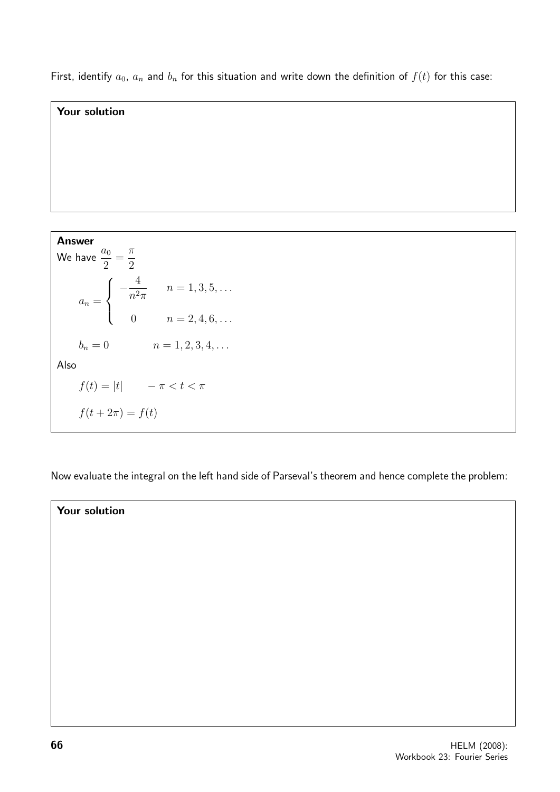First, identify  $a_0$ ,  $a_n$  and  $b_n$  for this situation and write down the definition of  $f(t)$  for this case:

## Your solution

Answer We have  $\frac{a_0}{2}$ 2 = π 2  $a_n =$  $\sqrt{ }$  $\int$  $\overline{\mathcal{L}}$  $-\frac{4}{2}$  $\frac{1}{n^2 \pi}$   $n = 1, 3, 5, \ldots$ 0  $n = 2, 4, 6, \ldots$  $b_n = 0$   $n = 1, 2, 3, 4, ...$ Also  $f(t) = |t|$   $-\pi < t < \pi$  $f(t + 2\pi) = f(t)$ 

Now evaluate the integral on the left hand side of Parseval's theorem and hence complete the problem:

Your solution